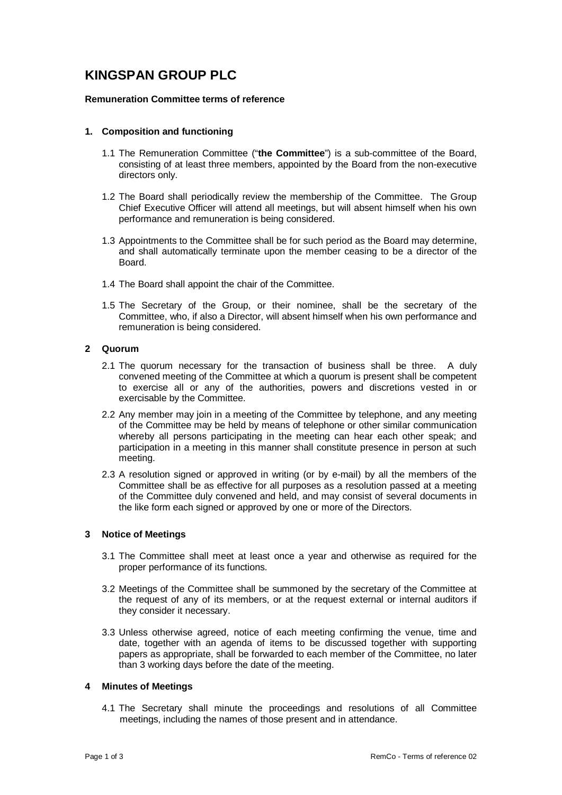# **KINGSPAN GROUP PLC**

## **Remuneration Committee terms of reference**

## **1. Composition and functioning**

- 1.1 The Remuneration Committee ("**the Committee**") is a sub-committee of the Board, consisting of at least three members, appointed by the Board from the non-executive directors only.
- 1.2 The Board shall periodically review the membership of the Committee. The Group Chief Executive Officer will attend all meetings, but will absent himself when his own performance and remuneration is being considered.
- 1.3 Appointments to the Committee shall be for such period as the Board may determine, and shall automatically terminate upon the member ceasing to be a director of the Board.
- 1.4 The Board shall appoint the chair of the Committee.
- 1.5 The Secretary of the Group, or their nominee, shall be the secretary of the Committee, who, if also a Director, will absent himself when his own performance and remuneration is being considered.

# **2 Quorum**

- 2.1 The quorum necessary for the transaction of business shall be three. A duly convened meeting of the Committee at which a quorum is present shall be competent to exercise all or any of the authorities, powers and discretions vested in or exercisable by the Committee.
- 2.2 Any member may join in a meeting of the Committee by telephone, and any meeting of the Committee may be held by means of telephone or other similar communication whereby all persons participating in the meeting can hear each other speak; and participation in a meeting in this manner shall constitute presence in person at such meeting.
- 2.3 A resolution signed or approved in writing (or by e-mail) by all the members of the Committee shall be as effective for all purposes as a resolution passed at a meeting of the Committee duly convened and held, and may consist of several documents in the like form each signed or approved by one or more of the Directors.

# **3 Notice of Meetings**

- 3.1 The Committee shall meet at least once a year and otherwise as required for the proper performance of its functions.
- 3.2 Meetings of the Committee shall be summoned by the secretary of the Committee at the request of any of its members, or at the request external or internal auditors if they consider it necessary.
- 3.3 Unless otherwise agreed, notice of each meeting confirming the venue, time and date, together with an agenda of items to be discussed together with supporting papers as appropriate, shall be forwarded to each member of the Committee, no later than 3 working days before the date of the meeting.

#### **4 Minutes of Meetings**

4.1 The Secretary shall minute the proceedings and resolutions of all Committee meetings, including the names of those present and in attendance.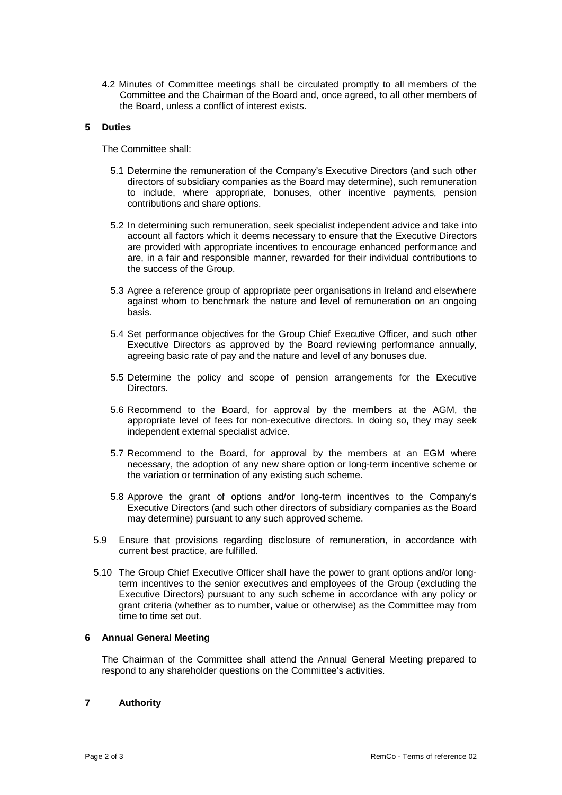4.2 Minutes of Committee meetings shall be circulated promptly to all members of the Committee and the Chairman of the Board and, once agreed, to all other members of the Board, unless a conflict of interest exists.

## **5 Duties**

The Committee shall:

- 5.1 Determine the remuneration of the Company's Executive Directors (and such other directors of subsidiary companies as the Board may determine), such remuneration to include, where appropriate, bonuses, other incentive payments, pension contributions and share options.
- 5.2 In determining such remuneration, seek specialist independent advice and take into account all factors which it deems necessary to ensure that the Executive Directors are provided with appropriate incentives to encourage enhanced performance and are, in a fair and responsible manner, rewarded for their individual contributions to the success of the Group.
- 5.3 Agree a reference group of appropriate peer organisations in Ireland and elsewhere against whom to benchmark the nature and level of remuneration on an ongoing basis.
- 5.4 Set performance objectives for the Group Chief Executive Officer, and such other Executive Directors as approved by the Board reviewing performance annually, agreeing basic rate of pay and the nature and level of any bonuses due.
- 5.5 Determine the policy and scope of pension arrangements for the Executive Directors.
- 5.6 Recommend to the Board, for approval by the members at the AGM, the appropriate level of fees for non-executive directors. In doing so, they may seek independent external specialist advice.
- 5.7 Recommend to the Board, for approval by the members at an EGM where necessary, the adoption of any new share option or long-term incentive scheme or the variation or termination of any existing such scheme.
- 5.8 Approve the grant of options and/or long-term incentives to the Company's Executive Directors (and such other directors of subsidiary companies as the Board may determine) pursuant to any such approved scheme.
- 5.9 Ensure that provisions regarding disclosure of remuneration, in accordance with current best practice, are fulfilled.
- 5.10 The Group Chief Executive Officer shall have the power to grant options and/or longterm incentives to the senior executives and employees of the Group (excluding the Executive Directors) pursuant to any such scheme in accordance with any policy or grant criteria (whether as to number, value or otherwise) as the Committee may from time to time set out.

## **6 Annual General Meeting**

The Chairman of the Committee shall attend the Annual General Meeting prepared to respond to any shareholder questions on the Committee's activities.

#### **7 Authority**